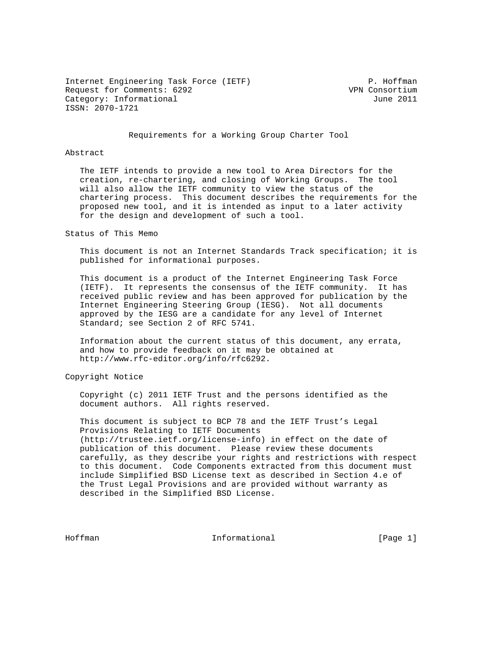Internet Engineering Task Force (IETF) P. Hoffman Request for Comments: 6292 VPN Consortium Category: Informational and Category: Informational ISSN: 2070-1721

Requirements for a Working Group Charter Tool

#### Abstract

 The IETF intends to provide a new tool to Area Directors for the creation, re-chartering, and closing of Working Groups. The tool will also allow the IETF community to view the status of the chartering process. This document describes the requirements for the proposed new tool, and it is intended as input to a later activity for the design and development of such a tool.

Status of This Memo

 This document is not an Internet Standards Track specification; it is published for informational purposes.

 This document is a product of the Internet Engineering Task Force (IETF). It represents the consensus of the IETF community. It has received public review and has been approved for publication by the Internet Engineering Steering Group (IESG). Not all documents approved by the IESG are a candidate for any level of Internet Standard; see Section 2 of RFC 5741.

 Information about the current status of this document, any errata, and how to provide feedback on it may be obtained at http://www.rfc-editor.org/info/rfc6292.

Copyright Notice

 Copyright (c) 2011 IETF Trust and the persons identified as the document authors. All rights reserved.

 This document is subject to BCP 78 and the IETF Trust's Legal Provisions Relating to IETF Documents (http://trustee.ietf.org/license-info) in effect on the date of publication of this document. Please review these documents carefully, as they describe your rights and restrictions with respect to this document. Code Components extracted from this document must include Simplified BSD License text as described in Section 4.e of the Trust Legal Provisions and are provided without warranty as described in the Simplified BSD License.

Hoffman **Informational Informational** [Page 1]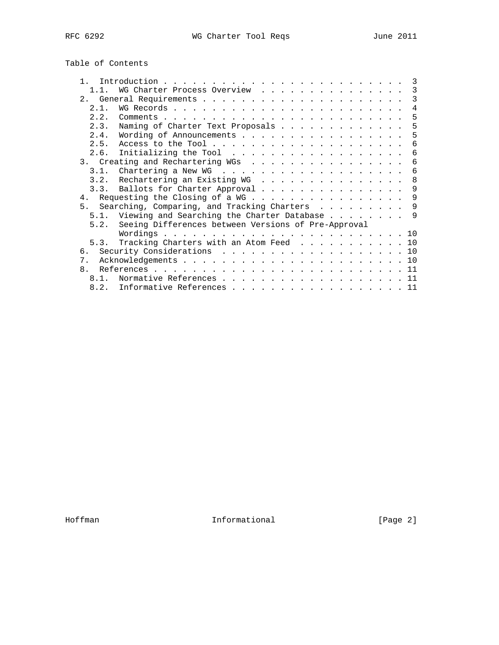# Table of Contents

|              |                                                          | 3   |
|--------------|----------------------------------------------------------|-----|
|              | WG Charter Process Overview                              | 3   |
|              |                                                          | 3   |
| 2.1.         |                                                          | 4   |
| 2.2.         |                                                          | 5   |
| 2.3.         | Naming of Charter Text Proposals                         | 5   |
| 2.4.         | Wording of Announcements                                 | 5   |
| 2.5.         |                                                          | 6   |
|              | 2.6. Initializing the Tool $\ldots$                      | 6   |
|              | 3. Creating and Rechartering WGs                         | 6   |
|              |                                                          | 6   |
|              | 3.2. Rechartering an Existing WG                         | 8   |
|              | 3.3. Ballots for Charter Approval                        | 9   |
|              | 4. Requesting the Closing of a WG                        | 9   |
|              | 5. Searching, Comparing, and Tracking Charters           | -9  |
| 5.1.         | Viewing and Searching the Charter Database               | - 9 |
|              | 5.2. Seeing Differences between Versions of Pre-Approval |     |
|              |                                                          |     |
|              | 5.3. Tracking Charters with an Atom Feed 10              |     |
| რ.           | Security Considerations 10                               |     |
| 7.           |                                                          |     |
| $\mathsf{R}$ |                                                          |     |
| 8 1          | Normative References 11                                  |     |
| 8.2.         | Informative References 11                                |     |

Hoffman Informational [Page 2]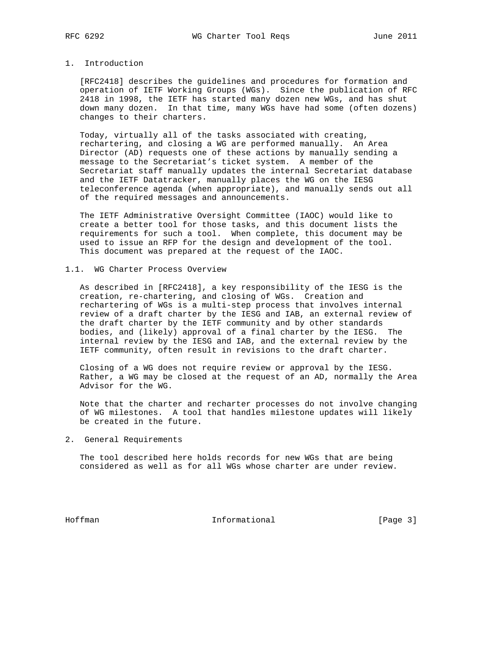# 1. Introduction

 [RFC2418] describes the guidelines and procedures for formation and operation of IETF Working Groups (WGs). Since the publication of RFC 2418 in 1998, the IETF has started many dozen new WGs, and has shut down many dozen. In that time, many WGs have had some (often dozens) changes to their charters.

 Today, virtually all of the tasks associated with creating, rechartering, and closing a WG are performed manually. An Area Director (AD) requests one of these actions by manually sending a message to the Secretariat's ticket system. A member of the Secretariat staff manually updates the internal Secretariat database and the IETF Datatracker, manually places the WG on the IESG teleconference agenda (when appropriate), and manually sends out all of the required messages and announcements.

 The IETF Administrative Oversight Committee (IAOC) would like to create a better tool for those tasks, and this document lists the requirements for such a tool. When complete, this document may be used to issue an RFP for the design and development of the tool. This document was prepared at the request of the IAOC.

#### 1.1. WG Charter Process Overview

 As described in [RFC2418], a key responsibility of the IESG is the creation, re-chartering, and closing of WGs. Creation and rechartering of WGs is a multi-step process that involves internal review of a draft charter by the IESG and IAB, an external review of the draft charter by the IETF community and by other standards bodies, and (likely) approval of a final charter by the IESG. The internal review by the IESG and IAB, and the external review by the IETF community, often result in revisions to the draft charter.

 Closing of a WG does not require review or approval by the IESG. Rather, a WG may be closed at the request of an AD, normally the Area Advisor for the WG.

 Note that the charter and recharter processes do not involve changing of WG milestones. A tool that handles milestone updates will likely be created in the future.

2. General Requirements

 The tool described here holds records for new WGs that are being considered as well as for all WGs whose charter are under review.

Hoffman Informational [Page 3]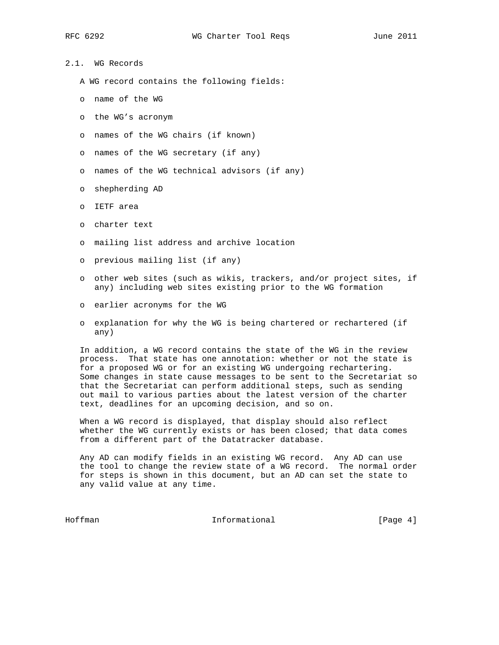2.1. WG Records

- A WG record contains the following fields:
- o name of the WG
- o the WG's acronym
- o names of the WG chairs (if known)
- o names of the WG secretary (if any)
- o names of the WG technical advisors (if any)
- o shepherding AD
- o IETF area
- o charter text
- o mailing list address and archive location
- o previous mailing list (if any)
- o other web sites (such as wikis, trackers, and/or project sites, if any) including web sites existing prior to the WG formation
- o earlier acronyms for the WG
- o explanation for why the WG is being chartered or rechartered (if any)

 In addition, a WG record contains the state of the WG in the review process. That state has one annotation: whether or not the state is for a proposed WG or for an existing WG undergoing rechartering. Some changes in state cause messages to be sent to the Secretariat so that the Secretariat can perform additional steps, such as sending out mail to various parties about the latest version of the charter text, deadlines for an upcoming decision, and so on.

 When a WG record is displayed, that display should also reflect whether the WG currently exists or has been closed; that data comes from a different part of the Datatracker database.

 Any AD can modify fields in an existing WG record. Any AD can use the tool to change the review state of a WG record. The normal order for steps is shown in this document, but an AD can set the state to any valid value at any time.

Hoffman **Informational** Informational [Page 4]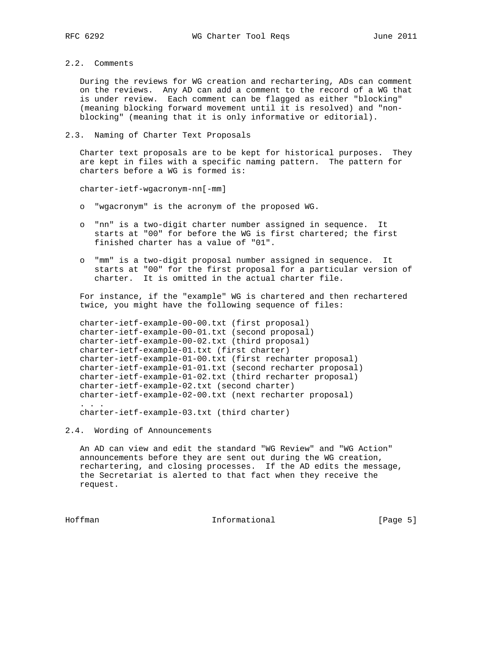### 2.2. Comments

 During the reviews for WG creation and rechartering, ADs can comment on the reviews. Any AD can add a comment to the record of a WG that is under review. Each comment can be flagged as either "blocking" (meaning blocking forward movement until it is resolved) and "non blocking" (meaning that it is only informative or editorial).

### 2.3. Naming of Charter Text Proposals

 Charter text proposals are to be kept for historical purposes. They are kept in files with a specific naming pattern. The pattern for charters before a WG is formed is:

charter-ietf-wgacronym-nn[-mm]

- o "wgacronym" is the acronym of the proposed WG.
- o "nn" is a two-digit charter number assigned in sequence. It starts at "00" for before the WG is first chartered; the first finished charter has a value of "01".
- o "mm" is a two-digit proposal number assigned in sequence. It starts at "00" for the first proposal for a particular version of charter. It is omitted in the actual charter file.

 For instance, if the "example" WG is chartered and then rechartered twice, you might have the following sequence of files:

 charter-ietf-example-00-00.txt (first proposal) charter-ietf-example-00-01.txt (second proposal) charter-ietf-example-00-02.txt (third proposal) charter-ietf-example-01.txt (first charter) charter-ietf-example-01-00.txt (first recharter proposal) charter-ietf-example-01-01.txt (second recharter proposal) charter-ietf-example-01-02.txt (third recharter proposal) charter-ietf-example-02.txt (second charter) charter-ietf-example-02-00.txt (next recharter proposal) . . . charter-ietf-example-03.txt (third charter)

2.4. Wording of Announcements

 An AD can view and edit the standard "WG Review" and "WG Action" announcements before they are sent out during the WG creation, rechartering, and closing processes. If the AD edits the message, the Secretariat is alerted to that fact when they receive the request.

Hoffman **Informational Informational** [Page 5]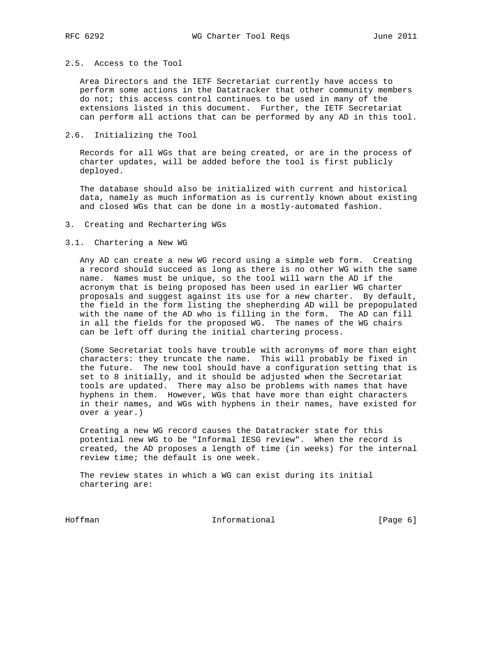# 2.5. Access to the Tool

 Area Directors and the IETF Secretariat currently have access to perform some actions in the Datatracker that other community members do not; this access control continues to be used in many of the extensions listed in this document. Further, the IETF Secretariat can perform all actions that can be performed by any AD in this tool.

### 2.6. Initializing the Tool

 Records for all WGs that are being created, or are in the process of charter updates, will be added before the tool is first publicly deployed.

 The database should also be initialized with current and historical data, namely as much information as is currently known about existing and closed WGs that can be done in a mostly-automated fashion.

#### 3. Creating and Rechartering WGs

#### 3.1. Chartering a New WG

 Any AD can create a new WG record using a simple web form. Creating a record should succeed as long as there is no other WG with the same name. Names must be unique, so the tool will warn the AD if the acronym that is being proposed has been used in earlier WG charter proposals and suggest against its use for a new charter. By default, the field in the form listing the shepherding AD will be prepopulated with the name of the AD who is filling in the form. The AD can fill in all the fields for the proposed WG. The names of the WG chairs can be left off during the initial chartering process.

 (Some Secretariat tools have trouble with acronyms of more than eight characters: they truncate the name. This will probably be fixed in the future. The new tool should have a configuration setting that is set to 8 initially, and it should be adjusted when the Secretariat tools are updated. There may also be problems with names that have hyphens in them. However, WGs that have more than eight characters in their names, and WGs with hyphens in their names, have existed for over a year.)

 Creating a new WG record causes the Datatracker state for this potential new WG to be "Informal IESG review". When the record is created, the AD proposes a length of time (in weeks) for the internal review time; the default is one week.

 The review states in which a WG can exist during its initial chartering are:

Hoffman Informational [Page 6]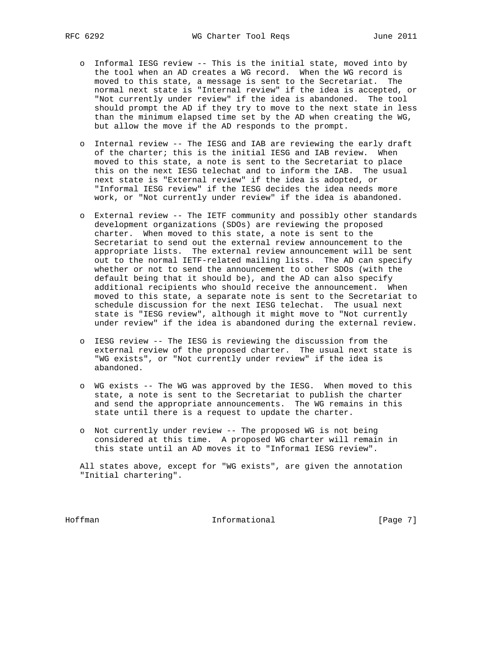- o Informal IESG review -- This is the initial state, moved into by the tool when an AD creates a WG record. When the WG record is moved to this state, a message is sent to the Secretariat. The normal next state is "Internal review" if the idea is accepted, or "Not currently under review" if the idea is abandoned. The tool should prompt the AD if they try to move to the next state in less than the minimum elapsed time set by the AD when creating the WG, but allow the move if the AD responds to the prompt.
- o Internal review -- The IESG and IAB are reviewing the early draft of the charter; this is the initial IESG and IAB review. When moved to this state, a note is sent to the Secretariat to place this on the next IESG telechat and to inform the IAB. The usual next state is "External review" if the idea is adopted, or "Informal IESG review" if the IESG decides the idea needs more work, or "Not currently under review" if the idea is abandoned.
- o External review -- The IETF community and possibly other standards development organizations (SDOs) are reviewing the proposed charter. When moved to this state, a note is sent to the Secretariat to send out the external review announcement to the appropriate lists. The external review announcement will be sent out to the normal IETF-related mailing lists. The AD can specify whether or not to send the announcement to other SDOs (with the default being that it should be), and the AD can also specify additional recipients who should receive the announcement. When moved to this state, a separate note is sent to the Secretariat to schedule discussion for the next IESG telechat. The usual next state is "IESG review", although it might move to "Not currently under review" if the idea is abandoned during the external review.
- o IESG review -- The IESG is reviewing the discussion from the external review of the proposed charter. The usual next state is "WG exists", or "Not currently under review" if the idea is abandoned.
- o WG exists -- The WG was approved by the IESG. When moved to this state, a note is sent to the Secretariat to publish the charter and send the appropriate announcements. The WG remains in this state until there is a request to update the charter.
- o Not currently under review -- The proposed WG is not being considered at this time. A proposed WG charter will remain in this state until an AD moves it to "Informa1 IESG review".

 All states above, except for "WG exists", are given the annotation "Initial chartering".

Hoffman Informational [Page 7]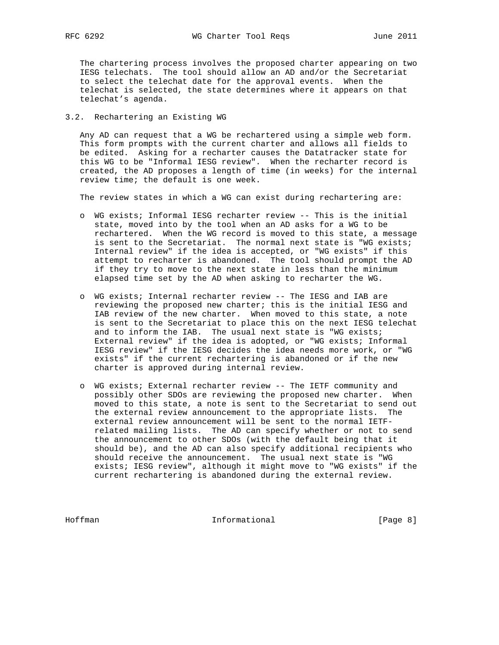The chartering process involves the proposed charter appearing on two IESG telechats. The tool should allow an AD and/or the Secretariat to select the telechat date for the approval events. When the telechat is selected, the state determines where it appears on that telechat's agenda.

# 3.2. Rechartering an Existing WG

 Any AD can request that a WG be rechartered using a simple web form. This form prompts with the current charter and allows all fields to be edited. Asking for a recharter causes the Datatracker state for this WG to be "Informal IESG review". When the recharter record is created, the AD proposes a length of time (in weeks) for the internal review time; the default is one week.

The review states in which a WG can exist during rechartering are:

- o WG exists; Informal IESG recharter review -- This is the initial state, moved into by the tool when an AD asks for a WG to be rechartered. When the WG record is moved to this state, a message is sent to the Secretariat. The normal next state is "WG exists; Internal review" if the idea is accepted, or "WG exists" if this attempt to recharter is abandoned. The tool should prompt the AD if they try to move to the next state in less than the minimum elapsed time set by the AD when asking to recharter the WG.
- o WG exists; Internal recharter review -- The IESG and IAB are reviewing the proposed new charter; this is the initial IESG and IAB review of the new charter. When moved to this state, a note is sent to the Secretariat to place this on the next IESG telechat and to inform the IAB. The usual next state is "WG exists; External review" if the idea is adopted, or "WG exists; Informal IESG review" if the IESG decides the idea needs more work, or "WG exists" if the current rechartering is abandoned or if the new charter is approved during internal review.
- o WG exists; External recharter review -- The IETF community and possibly other SDOs are reviewing the proposed new charter. When moved to this state, a note is sent to the Secretariat to send out the external review announcement to the appropriate lists. The external review announcement will be sent to the normal IETF related mailing lists. The AD can specify whether or not to send the announcement to other SDOs (with the default being that it should be), and the AD can also specify additional recipients who should receive the announcement. The usual next state is "WG exists; IESG review", although it might move to "WG exists" if the current rechartering is abandoned during the external review.

Hoffman Informational [Page 8]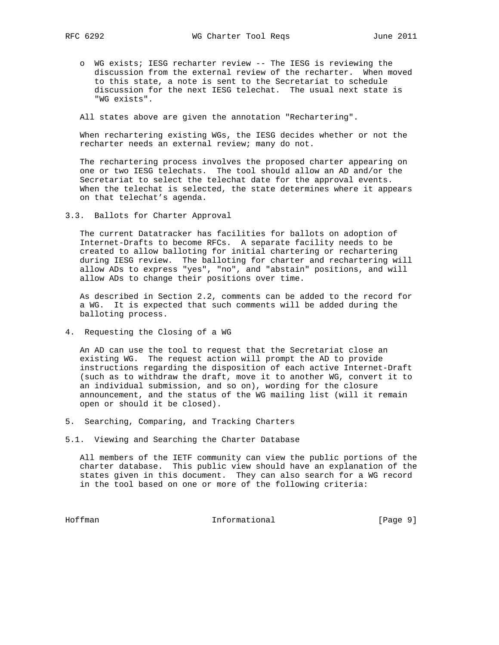- - o WG exists; IESG recharter review -- The IESG is reviewing the discussion from the external review of the recharter. When moved to this state, a note is sent to the Secretariat to schedule discussion for the next IESG telechat. The usual next state is "WG exists".

All states above are given the annotation "Rechartering".

 When rechartering existing WGs, the IESG decides whether or not the recharter needs an external review; many do not.

 The rechartering process involves the proposed charter appearing on one or two IESG telechats. The tool should allow an AD and/or the Secretariat to select the telechat date for the approval events. When the telechat is selected, the state determines where it appears on that telechat's agenda.

3.3. Ballots for Charter Approval

 The current Datatracker has facilities for ballots on adoption of Internet-Drafts to become RFCs. A separate facility needs to be created to allow balloting for initial chartering or rechartering during IESG review. The balloting for charter and rechartering will allow ADs to express "yes", "no", and "abstain" positions, and will allow ADs to change their positions over time.

 As described in Section 2.2, comments can be added to the record for a WG. It is expected that such comments will be added during the balloting process.

4. Requesting the Closing of a WG

 An AD can use the tool to request that the Secretariat close an existing WG. The request action will prompt the AD to provide instructions regarding the disposition of each active Internet-Draft (such as to withdraw the draft, move it to another WG, convert it to an individual submission, and so on), wording for the closure announcement, and the status of the WG mailing list (will it remain open or should it be closed).

- 5. Searching, Comparing, and Tracking Charters
- 5.1. Viewing and Searching the Charter Database

 All members of the IETF community can view the public portions of the charter database. This public view should have an explanation of the states given in this document. They can also search for a WG record in the tool based on one or more of the following criteria:

Hoffman Informational [Page 9]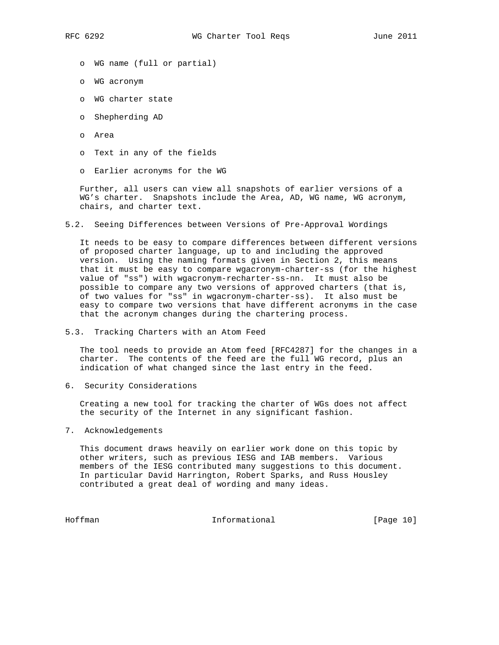- o WG name (full or partial)
- o WG acronym
- o WG charter state
- o Shepherding AD
- o Area
- o Text in any of the fields
- o Earlier acronyms for the WG

 Further, all users can view all snapshots of earlier versions of a WG's charter. Snapshots include the Area, AD, WG name, WG acronym, chairs, and charter text.

5.2. Seeing Differences between Versions of Pre-Approval Wordings

 It needs to be easy to compare differences between different versions of proposed charter language, up to and including the approved version. Using the naming formats given in Section 2, this means that it must be easy to compare wgacronym-charter-ss (for the highest value of "ss") with wgacronym-recharter-ss-nn. It must also be possible to compare any two versions of approved charters (that is, of two values for "ss" in wgacronym-charter-ss). It also must be easy to compare two versions that have different acronyms in the case that the acronym changes during the chartering process.

5.3. Tracking Charters with an Atom Feed

 The tool needs to provide an Atom feed [RFC4287] for the changes in a charter. The contents of the feed are the full WG record, plus an indication of what changed since the last entry in the feed.

6. Security Considerations

 Creating a new tool for tracking the charter of WGs does not affect the security of the Internet in any significant fashion.

7. Acknowledgements

 This document draws heavily on earlier work done on this topic by other writers, such as previous IESG and IAB members. Various members of the IESG contributed many suggestions to this document. In particular David Harrington, Robert Sparks, and Russ Housley contributed a great deal of wording and many ideas.

Hoffman Informational [Page 10]